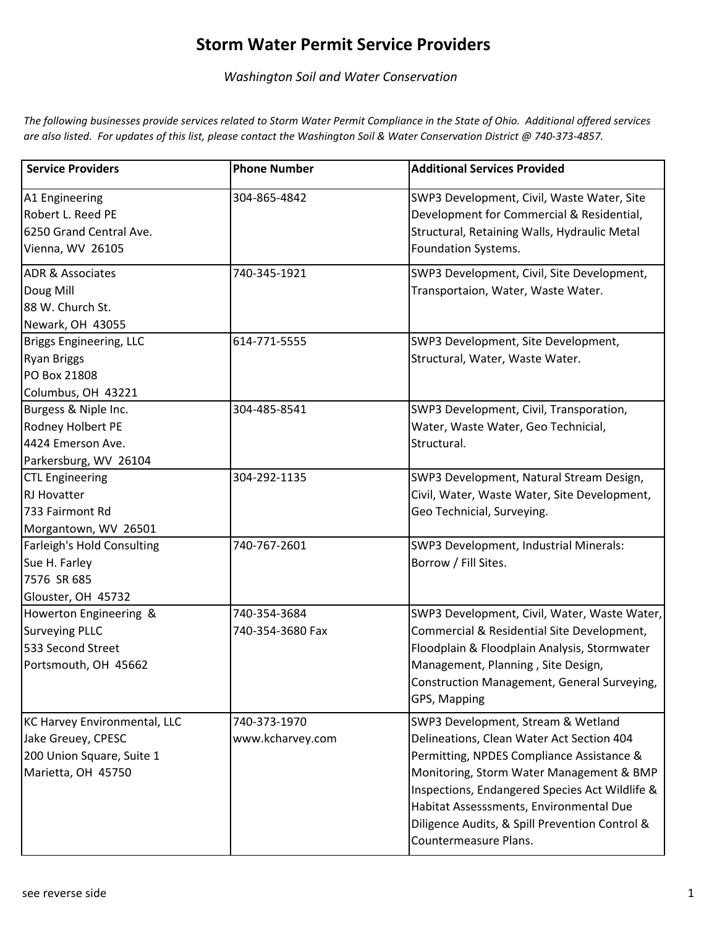## **Storm Water Permit Service Providers**

*Washington Soil and Water Conservation* 

*The following businesses provide services related to Storm Water Permit Compliance in the State of Ohio. Additional offered services are also listed. For updates of this list, please contact the Washington Soil & Water Conservation District @ 740-373-4857.* 

| <b>Service Providers</b>                                                                                     | <b>Phone Number</b>              | <b>Additional Services Provided</b>                                                                                                                                                                                                                                                                                                              |
|--------------------------------------------------------------------------------------------------------------|----------------------------------|--------------------------------------------------------------------------------------------------------------------------------------------------------------------------------------------------------------------------------------------------------------------------------------------------------------------------------------------------|
| A1 Engineering<br>Robert L. Reed PE<br>6250 Grand Central Ave.<br>Vienna, WV 26105                           | 304-865-4842                     | SWP3 Development, Civil, Waste Water, Site<br>Development for Commercial & Residential,<br>Structural, Retaining Walls, Hydraulic Metal<br>Foundation Systems.                                                                                                                                                                                   |
| <b>ADR &amp; Associates</b><br>Doug Mill<br>88 W. Church St.<br>Newark, OH 43055                             | 740-345-1921                     | SWP3 Development, Civil, Site Development,<br>Transportaion, Water, Waste Water.                                                                                                                                                                                                                                                                 |
| Briggs Engineering, LLC<br><b>Ryan Briggs</b><br>PO Box 21808<br>Columbus, OH 43221                          | 614-771-5555                     | SWP3 Development, Site Development,<br>Structural, Water, Waste Water.                                                                                                                                                                                                                                                                           |
| Burgess & Niple Inc.<br>Rodney Holbert PE<br>4424 Emerson Ave.<br>Parkersburg, WV 26104                      | 304-485-8541                     | SWP3 Development, Civil, Transporation,<br>Water, Waste Water, Geo Technicial,<br>Structural.                                                                                                                                                                                                                                                    |
| <b>CTL Engineering</b><br><b>RJ Hovatter</b><br>733 Fairmont Rd<br>Morgantown, WV 26501                      | 304-292-1135                     | SWP3 Development, Natural Stream Design,<br>Civil, Water, Waste Water, Site Development,<br>Geo Technicial, Surveying.                                                                                                                                                                                                                           |
| <b>Farleigh's Hold Consulting</b><br>Sue H. Farley<br>7576 SR 685<br>Glouster, OH 45732                      | 740-767-2601                     | SWP3 Development, Industrial Minerals:<br>Borrow / Fill Sites.                                                                                                                                                                                                                                                                                   |
| Howerton Engineering &<br><b>Surveying PLLC</b><br>533 Second Street<br>Portsmouth, OH 45662                 | 740-354-3684<br>740-354-3680 Fax | SWP3 Development, Civil, Water, Waste Water,<br>Commercial & Residential Site Development,<br>Floodplain & Floodplain Analysis, Stormwater<br>Management, Planning, Site Design,<br>Construction Management, General Surveying,<br>GPS, Mapping                                                                                                  |
| <b>KC Harvey Environmental, LLC</b><br>Jake Greuey, CPESC<br>200 Union Square, Suite 1<br>Marietta, OH 45750 | 740-373-1970<br>www.kcharvey.com | SWP3 Development, Stream & Wetland<br>Delineations, Clean Water Act Section 404<br>Permitting, NPDES Compliance Assistance &<br>Monitoring, Storm Water Management & BMP<br>Inspections, Endangered Species Act Wildlife &<br>Habitat Assesssments, Environmental Due<br>Diligence Audits, & Spill Prevention Control &<br>Countermeasure Plans. |